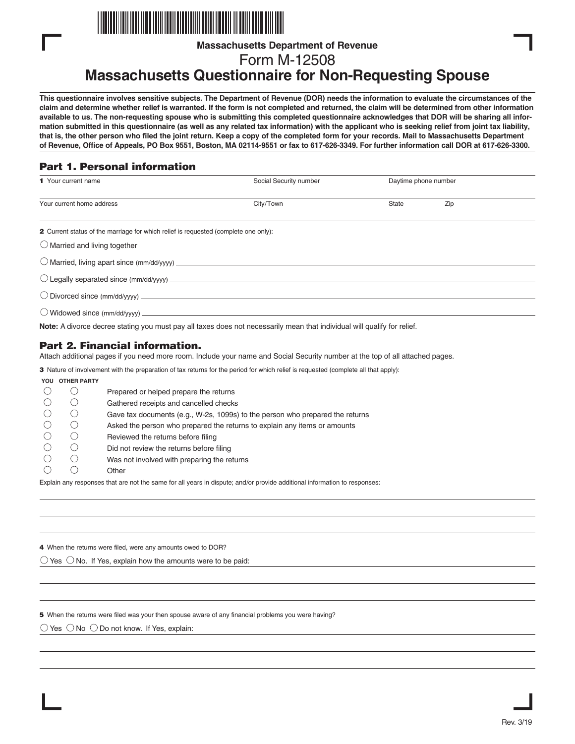

**Massachusetts Department of Revenue**

Form M-12508

# **Massachusetts Questionnaire for Non-Requesting Spouse**

**This questionnaire involves sensitive subjects. The Department of Revenue (DOR) needs the information to evaluate the circumstances of the claim and determine whether relief is warranted. If the form is not completed and returned, the claim will be determined from other information available to us. The non-requesting spouse who is submitting this completed questionnaire acknowledges that DOR will be sharing all information submitted in this questionnaire (as well as any related tax information) with the applicant who is seeking relief from joint tax liability, that is, the other person who filed the joint return. Keep a copy of the completed form for your records. Mail to Massachusetts Department of Revenue, Office of Appeals, PO Box 9551, Boston, MA 02114-9551 or fax to 617-626-3349. For further information call DOR at 617-626-3300.**

## Part 1. Personal information

| 1 Your current name                                                                 | Social Security number | Daytime phone number |     |  |  |
|-------------------------------------------------------------------------------------|------------------------|----------------------|-----|--|--|
| Your current home address                                                           | City/Town              | <b>State</b>         | Zip |  |  |
|                                                                                     |                        |                      |     |  |  |
| 2 Current status of the marriage for which relief is requested (complete one only): |                        |                      |     |  |  |
| $\bigcirc$ Married and living together                                              |                        |                      |     |  |  |
|                                                                                     |                        |                      |     |  |  |
|                                                                                     |                        |                      |     |  |  |
|                                                                                     |                        |                      |     |  |  |
| O Widowed since (mm/dd/yyyy) _______________                                        |                        |                      |     |  |  |

**Note:** A divorce decree stating you must pay all taxes does not necessarily mean that individual will qualify for relief.

## Part 2. Financial information.

Attach additional pages if you need more room. Include your name and Social Security number at the top of all attached pages.

3 Nature of involvement with the preparation of tax returns for the period for which relief is requested (complete all that apply):

#### **YOU OTHER PARTY**

|  | Prepared or helped prepare the returns                                        |
|--|-------------------------------------------------------------------------------|
|  | Gathered receipts and cancelled checks                                        |
|  | Gave tax documents (e.g., W-2s, 1099s) to the person who prepared the returns |
|  | Asked the person who prepared the returns to explain any items or amounts     |
|  | Reviewed the returns before filing                                            |
|  | Did not review the returns before filing                                      |
|  | Was not involved with preparing the returns                                   |
|  | Other                                                                         |

Explain any responses that are not the same for all years in dispute; and/or provide additional information to responses:

4 When the returns were filed, were any amounts owed to DOR?

 $\bigcirc$  Yes  $\bigcirc$  No. If Yes, explain how the amounts were to be paid:

5 When the returns were filed was your then spouse aware of any financial problems you were having?

 $\bigcirc$  Yes  $\bigcirc$  No  $\bigcirc$  Do not know. If Yes, explain: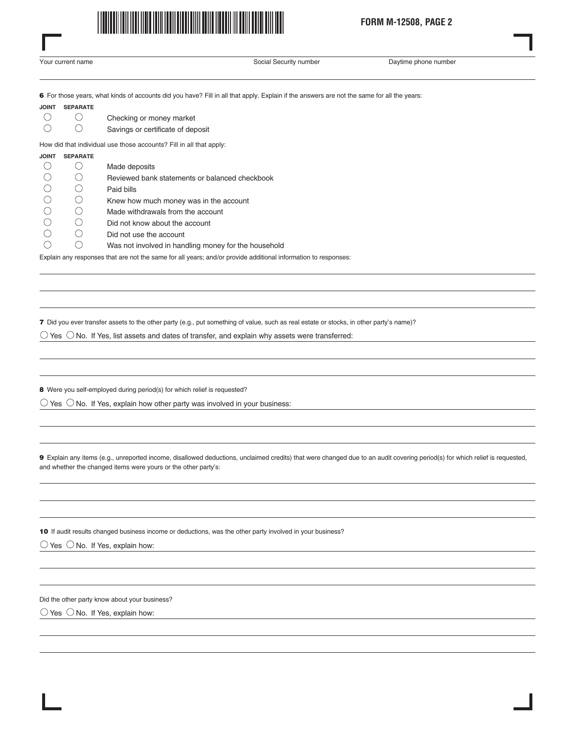

Your current name Social Security number Capacity number Social Security number Social Security number

6 For those years, what kinds of accounts did you have? Fill in all that apply. Explain if the answers are not the same for all the years:

|                                               | <b>JOINT SEPARATE</b>  |                                   |
|-----------------------------------------------|------------------------|-----------------------------------|
| $\left( \begin{array}{c} \end{array} \right)$ | $\left( \quad \right)$ | Checking or money market          |
| - ( )                                         | $($ )                  | Savings or certificate of deposit |

How did that individual use those accounts? Fill in all that apply:

#### **JOINT SEPARATE**

|  | Made deposits                                        |
|--|------------------------------------------------------|
|  | Reviewed bank statements or balanced checkbook       |
|  | Paid bills                                           |
|  | Knew how much money was in the account               |
|  | Made withdrawals from the account                    |
|  | Did not know about the account                       |
|  | Did not use the account                              |
|  | Was not involved in handling money for the household |

Explain any responses that are not the same for all years; and/or provide additional information to responses:

7 Did you ever transfer assets to the other party (e.g., put something of value, such as real estate or stocks, in other party's name)?

 $\bigcirc$  Yes  $\bigcirc$  No. If Yes, list assets and dates of transfer, and explain why assets were transferred:

8 Were you self-employed during period(s) for which relief is requested?

 $\bigcirc$  Yes  $\bigcirc$  No. If Yes, explain how other party was involved in your business:

9 Explain any items (e.g., unreported income, disallowed deductions, unclaimed credits) that were changed due to an audit covering period(s) for which relief is requested, and whether the changed items were yours or the other party's:

10 If audit results changed business income or deductions, was the other party involved in your business?

 $\bigcirc$  Yes  $\bigcirc$  No. If Yes, explain how:

Did the other party know about your business?

 $\bigcirc$  Yes  $\bigcirc$  No. If Yes, explain how: